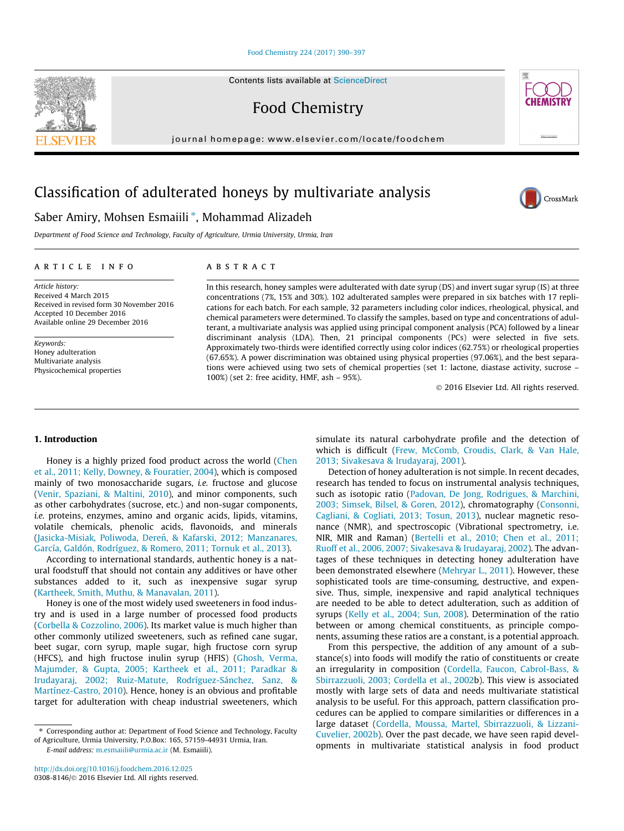#### [Food Chemistry 224 \(2017\) 390–397](http://dx.doi.org/10.1016/j.foodchem.2016.12.025)

Contents lists available at [ScienceDirect](http://www.sciencedirect.com/science/journal/03088146)

Food Chemistry

journal homepage: [www.elsevier.com/locate/foodchem](http://www.elsevier.com/locate/foodchem)

# Classification of adulterated honeys by multivariate analysis

# Saber Amiry, Mohsen Esmaiili \*, Mohammad Alizadeh

Department of Food Science and Technology, Faculty of Agriculture, Urmia University, Urmia, Iran

# article info

Article history: Received 4 March 2015 Received in revised form 30 November 2016 Accepted 10 December 2016 Available online 29 December 2016

Keywords: Honey adulteration Multivariate analysis Physicochemical properties

# **ABSTRACT**

In this research, honey samples were adulterated with date syrup (DS) and invert sugar syrup (IS) at three concentrations (7%, 15% and 30%). 102 adulterated samples were prepared in six batches with 17 replications for each batch. For each sample, 32 parameters including color indices, rheological, physical, and chemical parameters were determined. To classify the samples, based on type and concentrations of adulterant, a multivariate analysis was applied using principal component analysis (PCA) followed by a linear discriminant analysis (LDA). Then, 21 principal components (PCs) were selected in five sets. Approximately two-thirds were identified correctly using color indices (62.75%) or rheological properties (67.65%). A power discrimination was obtained using physical properties (97.06%), and the best separations were achieved using two sets of chemical properties (set 1: lactone, diastase activity, sucrose – 100%) (set 2: free acidity, HMF, ash – 95%).

2016 Elsevier Ltd. All rights reserved.

### 1. Introduction

Honey is a highly prized food product across the world ([Chen](#page-7-0) [et al., 2011; Kelly, Downey, & Fouratier, 2004](#page-7-0)), which is composed mainly of two monosaccharide sugars, i.e. fructose and glucose ([Venir, Spaziani, & Maltini, 2010\)](#page-7-0), and minor components, such as other carbohydrates (sucrose, etc.) and non-sugar components, i.e. proteins, enzymes, amino and organic acids, lipids, vitamins, volatile chemicals, phenolic acids, flavonoids, and minerals ([Jasicka-M](#page-7-0)isiak, Poliwoda, Dereń[, & Kafarski, 2012; Manzanares,](#page-7-0) [García, Galdón, Rodríguez, & Romero, 2011; Tornuk et al., 2013\)](#page-7-0).

According to international standards, authentic honey is a natural foodstuff that should not contain any additives or have other substances added to it, such as inexpensive sugar syrup ([Kartheek, Smith, Muthu, & Manavalan, 2011](#page-7-0)).

Honey is one of the most widely used sweeteners in food industry and is used in a large number of processed food products ([Corbella & Cozzolino, 2006](#page-7-0)). Its market value is much higher than other commonly utilized sweeteners, such as refined cane sugar, beet sugar, corn syrup, maple sugar, high fructose corn syrup (HFCS), and high fructose inulin syrup (HFIS) [\(Ghosh, Verma,](#page-7-0) [Majumder, & Gupta, 2005; Kartheek et al., 2011; Paradkar &](#page-7-0) [Irudayaraj, 2002; Ruiz-Matute, Rodríguez-Sánchez, Sanz, &](#page-7-0) [Martínez-Castro, 2010](#page-7-0)). Hence, honey is an obvious and profitable target for adulteration with cheap industrial sweeteners, which

⇑ Corresponding author at: Department of Food Science and Technology, Faculty of Agriculture, Urmia University, P.O.Box: 165, 57159-44931 Urmia, Iran.

E-mail address: [m.esmaiili@urmia.ac.ir](mailto:m.esmaiili@urmia.ac.ir) (M. Esmaiili).

simulate its natural carbohydrate profile and the detection of which is difficult ([Frew, McComb, Croudis, Clark, & Van Hale,](#page-7-0) [2013; Sivakesava & Irudayaraj, 2001](#page-7-0)).

Detection of honey adulteration is not simple. In recent decades, research has tended to focus on instrumental analysis techniques, such as isotopic ratio ([Padovan, De Jong, Rodrigues, & Marchini,](#page-7-0) [2003; Simsek, Bilsel, & Goren, 2012](#page-7-0)), chromatography ([Consonni,](#page-7-0) [Cagliani, & Cogliati, 2013; Tosun, 2013](#page-7-0)), nuclear magnetic resonance (NMR), and spectroscopic (Vibrational spectrometry, i.e. NIR, MIR and Raman) [\(Bertelli et al., 2010; Chen et al., 2011;](#page-7-0) [Ruoff et al., 2006, 2007; Sivakesava & Irudayaraj, 2002](#page-7-0)). The advantages of these techniques in detecting honey adulteration have been demonstrated elsewhere [\(Mehryar L., 2011](#page-7-0)). However, these sophisticated tools are time-consuming, destructive, and expensive. Thus, simple, inexpensive and rapid analytical techniques are needed to be able to detect adulteration, such as addition of syrups ([Kelly et al., 2004; Sun, 2008\)](#page-7-0). Determination of the ratio between or among chemical constituents, as principle components, assuming these ratios are a constant, is a potential approach.

From this perspective, the addition of any amount of a substance(s) into foods will modify the ratio of constituents or create an irregularity in composition [\(Cordella, Faucon, Cabrol-Bass, &](#page-7-0) [Sbirrazzuoli, 2003; Cordella et al., 2002b](#page-7-0)). This view is associated mostly with large sets of data and needs multivariate statistical analysis to be useful. For this approach, pattern classification procedures can be applied to compare similarities or differences in a large dataset [\(Cordella, Moussa, Martel, Sbirrazzuoli, & Lizzani-](#page-7-0)[Cuvelier, 2002b\)](#page-7-0). Over the past decade, we have seen rapid developments in multivariate statistical analysis in food product



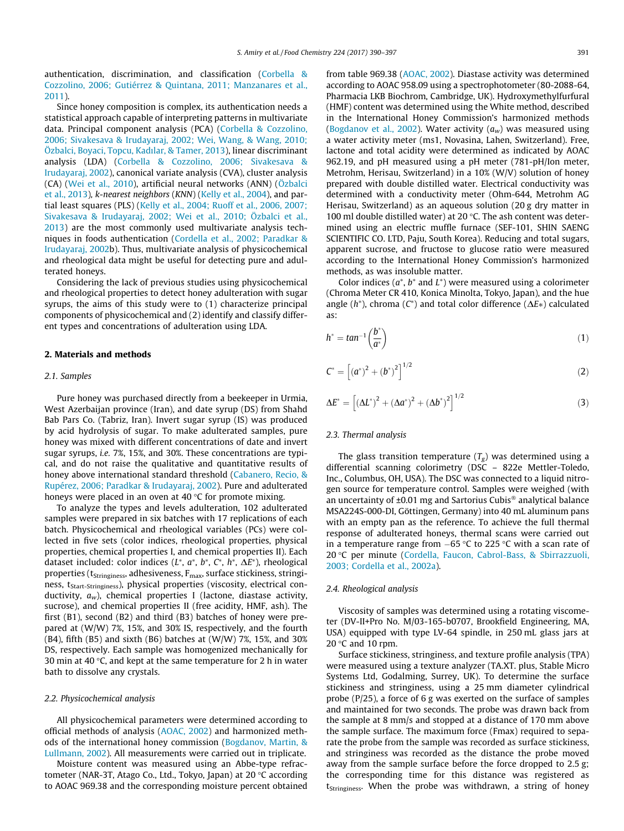authentication, discrimination, and classification ([Corbella &](#page-7-0) [Cozzolino, 2006; Gutiérrez & Quintana, 2011; Manzanares et al.,](#page-7-0) [2011\)](#page-7-0).

Since honey composition is complex, its authentication needs a statistical approach capable of interpreting patterns in multivariate data. Principal component analysis (PCA) [\(Corbella & Cozzolino,](#page-7-0) [2006; Sivakesava & Irudayaraj, 2002; Wei, Wang, & Wang, 2010;](#page-7-0) [Özbalci, Boyaci, Topcu, Kadılar, & Tamer, 2013](#page-7-0)), linear discriminant analysis (LDA) [\(Corbella & Cozzolino, 2006; Sivakesava &](#page-7-0) [Irudayaraj, 2002](#page-7-0)), canonical variate analysis (CVA), cluster analysis (CA) [\(Wei et al., 2010](#page-7-0)), artificial neural networks (ANN) ([Özbalci](#page-7-0) [et al., 2013\)](#page-7-0), k-nearest neighbors (KNN) [\(Kelly et al., 2004](#page-7-0)), and partial least squares (PLS) ([Kelly et al., 2004; Ruoff et al., 2006, 2007;](#page-7-0) [Sivakesava & Irudayaraj, 2002; Wei et al., 2010; Özbalci et al.,](#page-7-0) [2013\)](#page-7-0) are the most commonly used multivariate analysis techniques in foods authentication ([Cordella et al., 2002; Paradkar &](#page-7-0) [Irudayaraj, 2002](#page-7-0)b). Thus, multivariate analysis of physicochemical and rheological data might be useful for detecting pure and adulterated honeys.

Considering the lack of previous studies using physicochemical and rheological properties to detect honey adulteration with sugar syrups, the aims of this study were to (1) characterize principal components of physicochemical and (2) identify and classify different types and concentrations of adulteration using LDA.

### 2. Materials and methods

#### 2.1. Samples

Pure honey was purchased directly from a beekeeper in Urmia, West Azerbaijan province (Iran), and date syrup (DS) from Shahd Bab Pars Co. (Tabriz, Iran). Invert sugar syrup (IS) was produced by acid hydrolysis of sugar. To make adulterated samples, pure honey was mixed with different concentrations of date and invert sugar syrups, i.e. 7%, 15%, and 30%. These concentrations are typical, and do not raise the qualitative and quantitative results of honey above international standard threshold [\(Cabanero, Recio, &](#page-7-0) [Rupérez, 2006; Paradkar & Irudayaraj, 2002\)](#page-7-0). Pure and adulterated honeys were placed in an oven at 40  $\degree$ C for promote mixing.

To analyze the types and levels adulteration, 102 adulterated samples were prepared in six batches with 17 replications of each batch. Physicochemical and rheological variables (PCs) were collected in five sets (color indices, rheological properties, physical properties, chemical properties I, and chemical properties II). Each dataset included: color indices (L\*, a\*, b\*, C\*, h\*,  $\Delta E^*$ ), rheological properties ( $t_{\text{Stringiness}}$ , adhesiveness,  $F_{\text{max}}$ , surface stickiness, stringiness, t<sub>Start-Stringiness</sub>), physical properties (viscosity, electrical conductivity,  $a_w$ ), chemical properties I (lactone, diastase activity, sucrose), and chemical properties II (free acidity, HMF, ash). The first (B1), second (B2) and third (B3) batches of honey were prepared at (W/W) 7%, 15%, and 30% IS, respectively, and the fourth (B4), fifth (B5) and sixth (B6) batches at  $(W/W)$  7%, 15%, and 30% DS, respectively. Each sample was homogenized mechanically for 30 min at 40 $\degree$ C, and kept at the same temperature for 2 h in water bath to dissolve any crystals.

### 2.2. Physicochemical analysis

All physicochemical parameters were determined according to official methods of analysis ([AOAC, 2002](#page-7-0)) and harmonized methods of the international honey commission [\(Bogdanov, Martin, &](#page-7-0) [Lullmann, 2002\)](#page-7-0). All measurements were carried out in triplicate.

Moisture content was measured using an Abbe-type refractometer (NAR-3T, Atago Co., Ltd., Tokyo, Japan) at 20  $\degree$ C according to AOAC 969.38 and the corresponding moisture percent obtained from table 969.38 ([AOAC, 2002](#page-7-0)). Diastase activity was determined according to AOAC 958.09 using a spectrophotometer (80-2088-64, Pharmacia LKB Biochrom, Cambridge, UK). Hydroxymethylfurfural (HMF) content was determined using the White method, described in the International Honey Commission's harmonized methods ([Bogdanov et al., 2002](#page-7-0)). Water activity  $(a_w)$  was measured using a water activity meter (ms1, Novasina, Lahen, Switzerland). Free, lactone and total acidity were determined as indicated by AOAC 962.19, and pH measured using a pH meter (781-pH/Ion meter, Metrohm, Herisau, Switzerland) in a 10% (W/V) solution of honey prepared with double distilled water. Electrical conductivity was determined with a conductivity meter (Ohm-644, Metrohm AG Herisau, Switzerland) as an aqueous solution (20 g dry matter in 100 ml double distilled water) at 20  $\degree$ C. The ash content was determined using an electric muffle furnace (SEF-101, SHIN SAENG SCIENTIFIC CO. LTD, Paju, South Korea). Reducing and total sugars, apparent sucrose, and fructose to glucose ratio were measured according to the International Honey Commission's harmonized methods, as was insoluble matter.

Color indices ( $a^*$ ,  $b^*$  and  $L^*$ ) were measured using a colorimeter (Chroma Meter CR 410, Konica Minolta, Tokyo, Japan), and the hue angle ( $h^*$ ), chroma ( $C^*$ ) and total color difference ( $\Delta E^*$ ) calculated as:

$$
h^* = \tan^{-1}\left(\frac{b^*}{a^*}\right) \tag{1}
$$

$$
C^* = \left[ \left( a^* \right)^2 + \left( b^* \right)^2 \right]^{1/2} \tag{2}
$$

$$
\Delta E^* = \left[ (\Delta L^*)^2 + (\Delta a^*)^2 + (\Delta b^*)^2 \right]^{1/2}
$$
 (3)

# 2.3. Thermal analysis

The glass transition temperature  $(T_g)$  was determined using a differential scanning colorimetry (DSC – 822e Mettler-Toledo, Inc., Columbus, OH, USA). The DSC was connected to a liquid nitrogen source for temperature control. Samples were weighed (with an uncertainty of  $\pm 0.01$  mg and Sartorius Cubis<sup>®</sup> analytical balance MSA224S-000-DI, Göttingen, Germany) into 40 mL aluminum pans with an empty pan as the reference. To achieve the full thermal response of adulterated honeys, thermal scans were carried out in a temperature range from  $-65$  °C to 225 °C with a scan rate of 20 C per minute [\(Cordella, Faucon, Cabrol-Bass, & Sbirrazzuoli,](#page-7-0) [2003; Cordella et al., 2002a](#page-7-0)).

#### 2.4. Rheological analysis

Viscosity of samples was determined using a rotating viscometer (DV-II+Pro No. M/03-165-b0707, Brookfield Engineering, MA, USA) equipped with type LV-64 spindle, in 250 mL glass jars at 20 $\degree$ C and 10 rpm.

Surface stickiness, stringiness, and texture profile analysis (TPA) were measured using a texture analyzer (TA.XT. plus, Stable Micro Systems Ltd, Godalming, Surrey, UK). To determine the surface stickiness and stringiness, using a 25 mm diameter cylindrical probe (P/25), a force of 6 g was exerted on the surface of samples and maintained for two seconds. The probe was drawn back from the sample at 8 mm/s and stopped at a distance of 170 mm above the sample surface. The maximum force (Fmax) required to separate the probe from the sample was recorded as surface stickiness, and stringiness was recorded as the distance the probe moved away from the sample surface before the force dropped to 2.5 g; the corresponding time for this distance was registered as t<sub>Stringiness</sub>. When the probe was withdrawn, a string of honey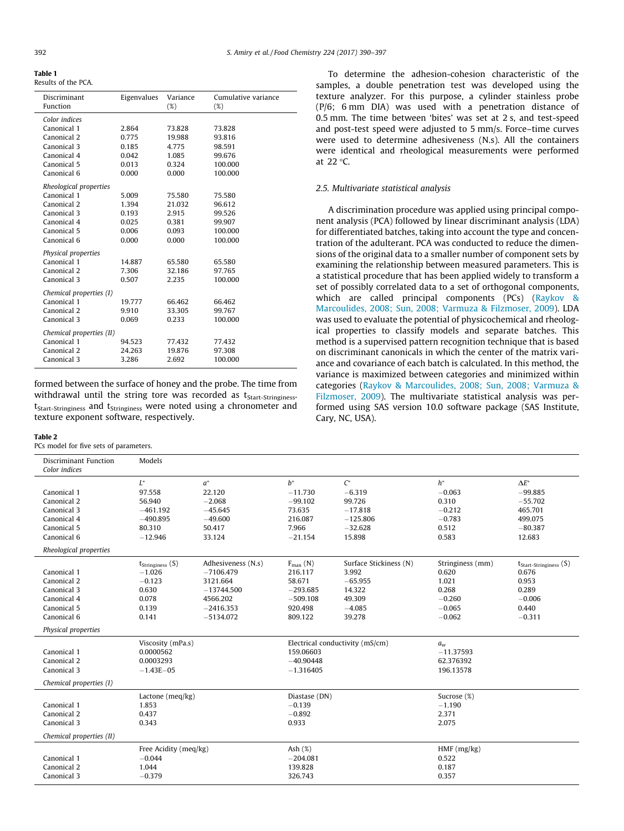<span id="page-2-0"></span>Table 1 Results of the PCA.

| Discriminant<br>Function | Eigenvalues | Variance<br>(%) | Cumulative variance<br>(%) |
|--------------------------|-------------|-----------------|----------------------------|
| Color indices            |             |                 |                            |
| Canonical 1              | 2.864       | 73.828          | 73.828                     |
| Canonical 2              | 0.775       | 19.988          | 93.816                     |
| Canonical 3              | 0.185       | 4.775           | 98.591                     |
| Canonical 4              | 0.042       | 1.085           | 99.676                     |
| Canonical 5              | 0.013       | 0.324           | 100.000                    |
| Canonical 6              | 0.000       | 0.000           | 100.000                    |
| Rheological properties   |             |                 |                            |
| Canonical 1              | 5.009       | 75.580          | 75.580                     |
| Canonical 2              | 1.394       | 21.032          | 96.612                     |
| Canonical 3              | 0.193       | 2.915           | 99.526                     |
| Canonical 4              | 0.025       | 0.381           | 99.907                     |
| Canonical 5              | 0.006       | 0.093           | 100.000                    |
| Canonical 6              | 0.000       | 0.000           | 100.000                    |
| Physical properties      |             |                 |                            |
| Canonical 1              | 14.887      | 65.580          | 65.580                     |
| Canonical 2              | 7.306       | 32.186          | 97.765                     |
| Canonical 3              | 0.507       | 2.235           | 100.000                    |
| Chemical properties (I)  |             |                 |                            |
| Canonical 1              | 19.777      | 66.462          | 66.462                     |
| Canonical 2              | 9.910       | 33.305          | 99.767                     |
| Canonical 3              | 0.069       | 0.233           | 100.000                    |
|                          |             |                 |                            |
| Chemical properties (II) |             |                 |                            |
| Canonical 1              | 94.523      | 77.432          | 77.432                     |
| Canonical 2              | 24.263      | 19.876          | 97.308                     |
| Canonical 3              | 3.286       | 2.692           | 100.000                    |

formed between the surface of honey and the probe. The time from withdrawal until the string tore was recorded as t<sub>Start-Stringiness</sub>. t<sub>Start-Stringiness</sub> and t<sub>Stringiness</sub> were noted using a chronometer and texture exponent software, respectively.

#### Table 2

PCs model for five sets of parameters.

To determine the adhesion-cohesion characteristic of the samples, a double penetration test was developed using the texture analyzer. For this purpose, a cylinder stainless probe (P/6; 6 mm DIA) was used with a penetration distance of 0.5 mm. The time between 'bites' was set at 2 s, and test-speed and post-test speed were adjusted to 5 mm/s. Force–time curves were used to determine adhesiveness (N.s). All the containers were identical and rheological measurements were performed at  $22 °C$ .

# 2.5. Multivariate statistical analysis

A discrimination procedure was applied using principal component analysis (PCA) followed by linear discriminant analysis (LDA) for differentiated batches, taking into account the type and concentration of the adulterant. PCA was conducted to reduce the dimensions of the original data to a smaller number of component sets by examining the relationship between measured parameters. This is a statistical procedure that has been applied widely to transform a set of possibly correlated data to a set of orthogonal components, which are called principal components (PCs) [\(Raykov &](#page-7-0) [Marcoulides, 2008; Sun, 2008; Varmuza & Filzmoser, 2009](#page-7-0)). LDA was used to evaluate the potential of physicochemical and rheological properties to classify models and separate batches. This method is a supervised pattern recognition technique that is based on discriminant canonicals in which the center of the matrix variance and covariance of each batch is calculated. In this method, the variance is maximized between categories and minimized within categories ([Raykov & Marcoulides, 2008; Sun, 2008; Varmuza &](#page-7-0) [Filzmoser, 2009\)](#page-7-0). The multivariate statistical analysis was performed using SAS version 10.0 software package (SAS Institute, Cary, NC, USA).

| Discriminant Function<br>Color indices                                                 | Models                                                                                  |                                                                                                         |                                                                                            |                                                                                         |                                                                                 |                                                                                         |
|----------------------------------------------------------------------------------------|-----------------------------------------------------------------------------------------|---------------------------------------------------------------------------------------------------------|--------------------------------------------------------------------------------------------|-----------------------------------------------------------------------------------------|---------------------------------------------------------------------------------|-----------------------------------------------------------------------------------------|
| Canonical 1<br>Canonical 2<br>Canonical 3<br>Canonical 4<br>Canonical 5<br>Canonical 6 | $L^*$<br>97.558<br>56.940<br>$-461.192$<br>$-490.895$<br>80.310<br>$-12.946$            | $a^*$<br>22.120<br>$-2.068$<br>$-45.645$<br>$-49.600$<br>50.417<br>33.124                               | $h^*$<br>$-11.730$<br>$-99.102$<br>73.635<br>216.087<br>7.966<br>$-21.154$                 | $\mathcal{C}^*$<br>$-6.319$<br>99.726<br>$-17.818$<br>$-125.806$<br>$-32.628$<br>15.898 | $h^*$<br>$-0.063$<br>0.310<br>$-0.212$<br>$-0.783$<br>0.512<br>0.583            | $\Lambda E^*$<br>$-99.885$<br>$-55,702$<br>465.701<br>499.075<br>$-80.387$<br>12.683    |
| Rheological properties                                                                 |                                                                                         |                                                                                                         |                                                                                            |                                                                                         |                                                                                 |                                                                                         |
| Canonical 1<br>Canonical 2<br>Canonical 3<br>Canonical 4<br>Canonical 5<br>Canonical 6 | $t_{\text{Stringiness}}(S)$<br>$-1.026$<br>$-0.123$<br>0.630<br>0.078<br>0.139<br>0.141 | Adhesiveness (N.s)<br>$-7106.479$<br>3121.664<br>$-13744.500$<br>4566.202<br>$-2416.353$<br>$-5134.072$ | $F_{\text{max}}(N)$<br>216.117<br>58.671<br>$-293.685$<br>$-509.108$<br>920.498<br>809.122 | Surface Stickiness (N)<br>3.992<br>$-65.955$<br>14.322<br>49.309<br>$-4.085$<br>39.278  | Stringiness (mm)<br>0.620<br>1.021<br>0.268<br>$-0.260$<br>$-0.065$<br>$-0.062$ | $t_{Start-Stringiness}$ (S)<br>0.676<br>0.953<br>0.289<br>$-0.006$<br>0.440<br>$-0.311$ |
| Physical properties                                                                    |                                                                                         |                                                                                                         |                                                                                            |                                                                                         |                                                                                 |                                                                                         |
| Canonical 1<br>Canonical 2<br>Canonical 3                                              | Viscosity (mPa.s)<br>0.0000562<br>0.0003293<br>$-1.43E - 05$                            |                                                                                                         | 159.06603<br>$-40.90448$<br>$-1.316405$                                                    | Electrical conductivity (mS/cm)                                                         | $a_w$<br>$-11.37593$<br>62.376392<br>196.13578                                  |                                                                                         |
| Chemical properties (I)                                                                |                                                                                         |                                                                                                         |                                                                                            |                                                                                         |                                                                                 |                                                                                         |
| Canonical 1<br>Canonical 2<br>Canonical 3                                              | Lactone (meq/kg)<br>1.853<br>0.437<br>0.343                                             |                                                                                                         | Diastase (DN)<br>$-0.139$<br>$-0.892$<br>0.933                                             |                                                                                         | Sucrose (%)<br>$-1.190$<br>2.371<br>2.075                                       |                                                                                         |
| Chemical properties (II)                                                               |                                                                                         |                                                                                                         |                                                                                            |                                                                                         |                                                                                 |                                                                                         |
| Canonical 1<br>Canonical 2<br>Canonical 3                                              | Free Acidity (meg/kg)<br>$-0.044$<br>1.044<br>$-0.379$                                  |                                                                                                         | Ash $(\%)$<br>$-204.081$<br>139.828<br>326.743                                             |                                                                                         | $HMF$ (mg/kg)<br>0.522<br>0.187<br>0.357                                        |                                                                                         |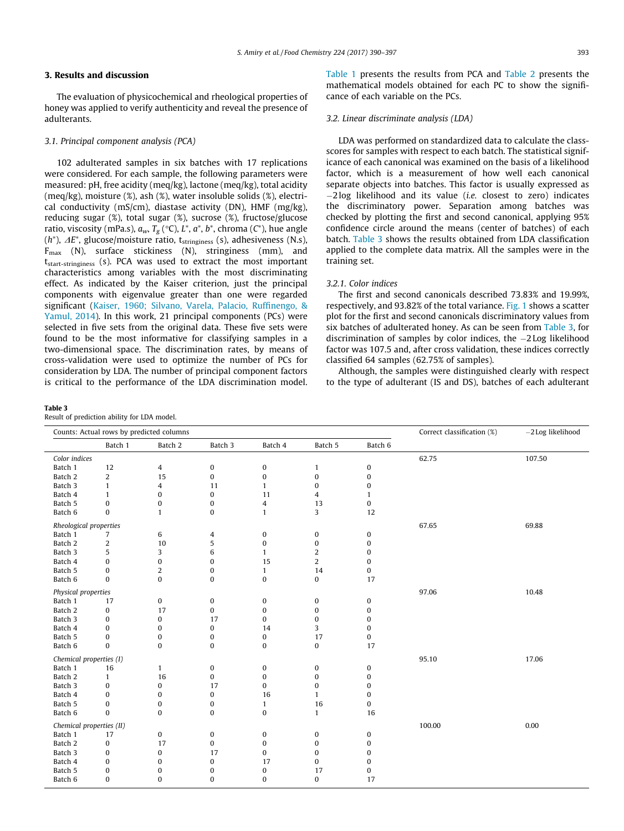# <span id="page-3-0"></span>3. Results and discussion

The evaluation of physicochemical and rheological properties of honey was applied to verify authenticity and reveal the presence of adulterants.

# 3.1. Principal component analysis (PCA)

102 adulterated samples in six batches with 17 replications were considered. For each sample, the following parameters were measured: pH, free acidity (meq/kg), lactone (meq/kg), total acidity (meq/kg), moisture (%), ash (%), water insoluble solids (%), electrical conductivity (mS/cm), diastase activity (DN), HMF (mg/kg), reducing sugar (%), total sugar (%), sucrose (%), fructose/glucose ratio, viscosity (mPa.s),  $a_w$ ,  $T_{\rm g}$  (°C),  $L^*$ ,  $a^*$ ,  $b^*$ , chroma (C $^*$ ), hue angle (h\*),  $\varDelta E^*$ , glucose/moisture ratio, t<sub>stringiness</sub> (s), adhesiveness (N.s),  $F_{\text{max}}$  (N), surface stickiness (N), stringiness (mm), and tstart-stringiness (s). PCA was used to extract the most important characteristics among variables with the most discriminating effect. As indicated by the Kaiser criterion, just the principal components with eigenvalue greater than one were regarded significant [\(Kaiser, 1960; Silvano, Varela, Palacio, Ruffinengo, &](#page-7-0) [Yamul, 2014](#page-7-0)). In this work, 21 principal components (PCs) were selected in five sets from the original data. These five sets were found to be the most informative for classifying samples in a two-dimensional space. The discrimination rates, by means of cross-validation were used to optimize the number of PCs for consideration by LDA. The number of principal component factors is critical to the performance of the LDA discrimination model.

Table 3

Result of prediction ability for LDA model.

[Table 1](#page-2-0) presents the results from PCA and [Table 2](#page-2-0) presents the mathematical models obtained for each PC to show the significance of each variable on the PCs.

# 3.2. Linear discriminate analysis (LDA)

LDA was performed on standardized data to calculate the classscores for samples with respect to each batch. The statistical significance of each canonical was examined on the basis of a likelihood factor, which is a measurement of how well each canonical separate objects into batches. This factor is usually expressed as  $-2$  log likelihood and its value (i.e. closest to zero) indicates the discriminatory power. Separation among batches was checked by plotting the first and second canonical, applying 95% confidence circle around the means (center of batches) of each batch. Table 3 shows the results obtained from LDA classification applied to the complete data matrix. All the samples were in the training set.

# 3.2.1. Color indices

The first and second canonicals described 73.83% and 19.99%, respectively, and 93.82% of the total variance. [Fig. 1](#page-4-0) shows a scatter plot for the first and second canonicals discriminatory values from six batches of adulterated honey. As can be seen from Table 3, for discrimination of samples by color indices, the  $-2$  Log likelihood factor was 107.5 and, after cross validation, these indices correctly classified 64 samples (62.75% of samples).

Although, the samples were distinguished clearly with respect to the type of adulterant (IS and DS), batches of each adulterant

| Counts: Actual rows by predicted columns |                  |                  |                  |                  |                         | Correct classification (%) | -2 Log likelihood |        |
|------------------------------------------|------------------|------------------|------------------|------------------|-------------------------|----------------------------|-------------------|--------|
|                                          | Batch 1          | Batch 2          | Batch 3          | Batch 4          | Batch 5                 | Batch 6                    |                   |        |
| Color indices                            |                  |                  |                  |                  |                         |                            | 62.75             | 107.50 |
| Batch 1                                  | 12               | 4                | $\pmb{0}$        | $\pmb{0}$        | $\mathbf{1}$            | $\bf{0}$                   |                   |        |
| Batch 2                                  | $\overline{c}$   | 15               | $\pmb{0}$        | $\pmb{0}$        | $\pmb{0}$               | $\bf{0}$                   |                   |        |
| Batch 3                                  | $\mathbf{1}$     | 4                | 11               | $\mathbf{1}$     | 0                       | $\boldsymbol{0}$           |                   |        |
| Batch 4                                  | $\mathbf{1}$     | $\bf{0}$         | $\pmb{0}$        | 11               | $\overline{\mathbf{4}}$ | $\mathbf{1}$               |                   |        |
| Batch 5                                  | $\pmb{0}$        | $\bf{0}$         | 0                | 4                | 13                      | $\pmb{0}$                  |                   |        |
| Batch 6                                  | $\pmb{0}$        | $\mathbf{1}$     | $\bf{0}$         | $\mathbf{1}$     | 3                       | 12                         |                   |        |
| Rheological properties                   |                  |                  |                  |                  |                         |                            | 67.65             | 69.88  |
| Batch 1                                  | $\overline{7}$   | 6                | 4                | $\pmb{0}$        | 0                       | $\bf{0}$                   |                   |        |
| Batch 2                                  | $\boldsymbol{2}$ | 10               | 5                | $\boldsymbol{0}$ | $\bf{0}$                | $\bf{0}$                   |                   |        |
| Batch 3                                  | 5                | 3                | 6                | $\mathbf{1}$     | $\overline{c}$          | 0                          |                   |        |
| Batch 4                                  | 0                | $\boldsymbol{0}$ | 0                | 15               | $\overline{2}$          | 0                          |                   |        |
| Batch 5                                  | 0                | $\overline{2}$   | 0                | $\mathbf{1}$     | 14                      | $\pmb{0}$                  |                   |        |
| Batch 6                                  | $\bf{0}$         | $\boldsymbol{0}$ | $\boldsymbol{0}$ | $\pmb{0}$        | 0                       | 17                         |                   |        |
| Physical properties                      |                  |                  |                  |                  |                         |                            | 97.06             | 10.48  |
| Batch 1                                  | 17               | 0                | 0                | 0                | 0                       | 0                          |                   |        |
| Batch 2                                  | $\pmb{0}$        | 17               | $\bf{0}$         | $\pmb{0}$        | $\pmb{0}$               | $\bf{0}$                   |                   |        |
| Batch 3                                  | 0                | $\boldsymbol{0}$ | 17               | $\pmb{0}$        | $\bf{0}$                | $\bf{0}$                   |                   |        |
| Batch 4                                  | 0                | $\bf{0}$         | $\pmb{0}$        | 14               | 3                       | $\bf{0}$                   |                   |        |
| Batch 5                                  | 0                | $\bf{0}$         | 0                | $\pmb{0}$        | 17                      | $\pmb{0}$                  |                   |        |
| Batch 6                                  | $\bf{0}$         | $\bf{0}$         | $\bf{0}$         | $\bf{0}$         | 0                       | 17                         |                   |        |
| Chemical properties (I)                  |                  |                  |                  |                  |                         |                            | 95.10             | 17.06  |
| Batch 1                                  | 16               | $\mathbf{1}$     | 0                | 0                | 0                       | 0                          |                   |        |
| Batch 2                                  | $\mathbf{1}$     | 16               | $\bf{0}$         | $\bf{0}$         | $\bf{0}$                | $\bf{0}$                   |                   |        |
| Batch 3                                  | $\pmb{0}$        | $\boldsymbol{0}$ | 17               | 0                | $\mathbf 0$             | 0                          |                   |        |
| Batch 4                                  | $\mathbf{0}$     | $\Omega$         | $\boldsymbol{0}$ | 16               | $\mathbf{1}$            | 0                          |                   |        |
| Batch 5                                  | 0                | 0                | 0                | $\mathbf{1}$     | 16                      | 0                          |                   |        |
| Batch 6                                  | $\bf{0}$         | $\bf{0}$         | $\bf{0}$         | $\pmb{0}$        | $\mathbf{1}$            | 16                         |                   |        |
| Chemical properties (II)                 |                  |                  |                  |                  |                         |                            | 100.00            | 0.00   |
| Batch 1                                  | 17               | 0                | 0                | 0                | 0                       | 0                          |                   |        |
| Batch 2                                  | 0                | 17               | $\bf{0}$         | $\pmb{0}$        | 0                       | 0                          |                   |        |
| Batch 3                                  | $\pmb{0}$        | $\boldsymbol{0}$ | 17               | $\bf{0}$         | $\bf{0}$                | $\bf{0}$                   |                   |        |
| Batch 4                                  | 0                | $\bf{0}$         | $\boldsymbol{0}$ | 17               | 0                       | $\bf{0}$                   |                   |        |
| Batch 5                                  | 0                | 0                | 0                | $\pmb{0}$        | 17                      | $\pmb{0}$                  |                   |        |
| Batch 6                                  | $\bf{0}$         | $\bf{0}$         | $\bf{0}$         | 0                | 0                       | 17                         |                   |        |
|                                          |                  |                  |                  |                  |                         |                            |                   |        |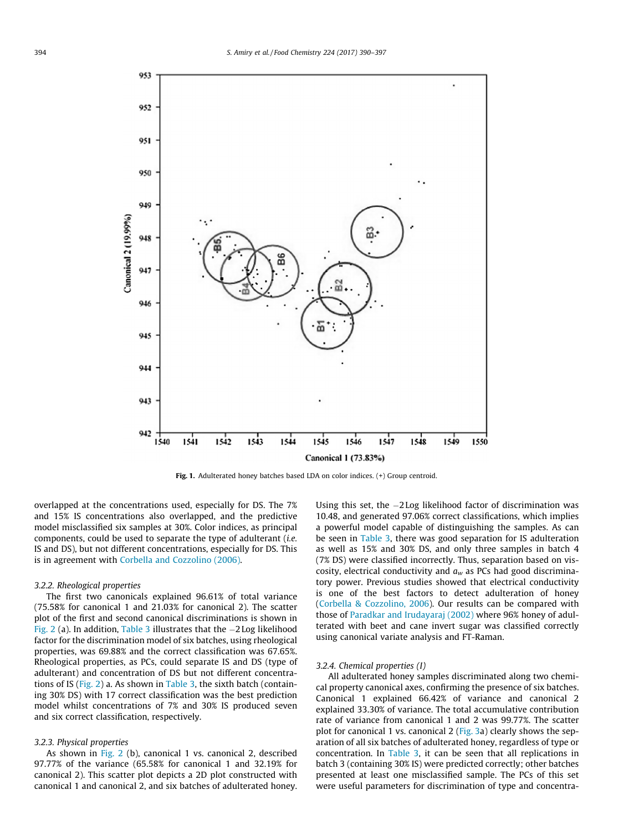<span id="page-4-0"></span>

Fig. 1. Adulterated honey batches based LDA on color indices. (+) Group centroid.

overlapped at the concentrations used, especially for DS. The 7% and 15% IS concentrations also overlapped, and the predictive model misclassified six samples at 30%. Color indices, as principal components, could be used to separate the type of adulterant (i.e. IS and DS), but not different concentrations, especially for DS. This is in agreement with [Corbella and Cozzolino \(2006\)](#page-7-0).

#### 3.2.2. Rheological properties

The first two canonicals explained 96.61% of total variance (75.58% for canonical 1 and 21.03% for canonical 2). The scatter plot of the first and second canonical discriminations is shown in [Fig. 2](#page-5-0) (a). In addition, [Table 3](#page-3-0) illustrates that the  $-2$  Log likelihood factor for the discrimination model of six batches, using rheological properties, was 69.88% and the correct classification was 67.65%. Rheological properties, as PCs, could separate IS and DS (type of adulterant) and concentration of DS but not different concentrations of IS ([Fig. 2\)](#page-5-0) a. As shown in [Table 3](#page-3-0), the sixth batch (containing 30% DS) with 17 correct classification was the best prediction model whilst concentrations of 7% and 30% IS produced seven and six correct classification, respectively.

#### 3.2.3. Physical properties

As shown in [Fig. 2](#page-5-0) (b), canonical 1 vs. canonical 2, described 97.77% of the variance (65.58% for canonical 1 and 32.19% for canonical 2). This scatter plot depicts a 2D plot constructed with canonical 1 and canonical 2, and six batches of adulterated honey.

Using this set, the  $-2$  Log likelihood factor of discrimination was 10.48, and generated 97.06% correct classifications, which implies a powerful model capable of distinguishing the samples. As can be seen in [Table 3,](#page-3-0) there was good separation for IS adulteration as well as 15% and 30% DS, and only three samples in batch 4 (7% DS) were classified incorrectly. Thus, separation based on viscosity, electrical conductivity and  $a_w$  as PCs had good discriminatory power. Previous studies showed that electrical conductivity is one of the best factors to detect adulteration of honey ([Corbella & Cozzolino, 2006\)](#page-7-0). Our results can be compared with those of [Paradkar and Irudayaraj \(2002\)](#page-7-0) where 96% honey of adulterated with beet and cane invert sugar was classified correctly using canonical variate analysis and FT-Raman.

# 3.2.4. Chemical properties (I)

All adulterated honey samples discriminated along two chemical property canonical axes, confirming the presence of six batches. Canonical 1 explained 66.42% of variance and canonical 2 explained 33.30% of variance. The total accumulative contribution rate of variance from canonical 1 and 2 was 99.77%. The scatter plot for canonical 1 vs. canonical 2 ([Fig. 3](#page-6-0)a) clearly shows the separation of all six batches of adulterated honey, regardless of type or concentration. In [Table 3,](#page-3-0) it can be seen that all replications in batch 3 (containing 30% IS) were predicted correctly; other batches presented at least one misclassified sample. The PCs of this set were useful parameters for discrimination of type and concentra-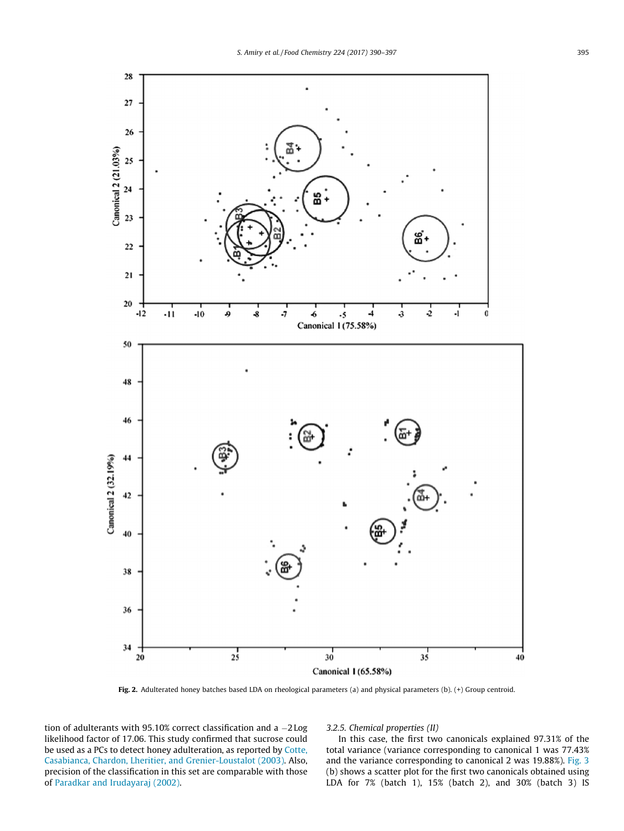<span id="page-5-0"></span>

Fig. 2. Adulterated honey batches based LDA on rheological parameters (a) and physical parameters (b). (+) Group centroid.

tion of adulterants with 95.10% correct classification and a  $-2 \text{Log}$ likelihood factor of 17.06. This study confirmed that sucrose could be used as a PCs to detect honey adulteration, as reported by [Cotte,](#page-7-0) [Casabianca, Chardon, Lheritier, and Grenier-Loustalot \(2003\)](#page-7-0). Also, precision of the classification in this set are comparable with those of [Paradkar and Irudayaraj \(2002\)](#page-7-0).

3.2.5. Chemical properties (II)

In this case, the first two canonicals explained 97.31% of the total variance (variance corresponding to canonical 1 was 77.43% and the variance corresponding to canonical 2 was 19.88%). [Fig. 3](#page-6-0) (b) shows a scatter plot for the first two canonicals obtained using LDA for 7% (batch 1), 15% (batch 2), and 30% (batch 3) IS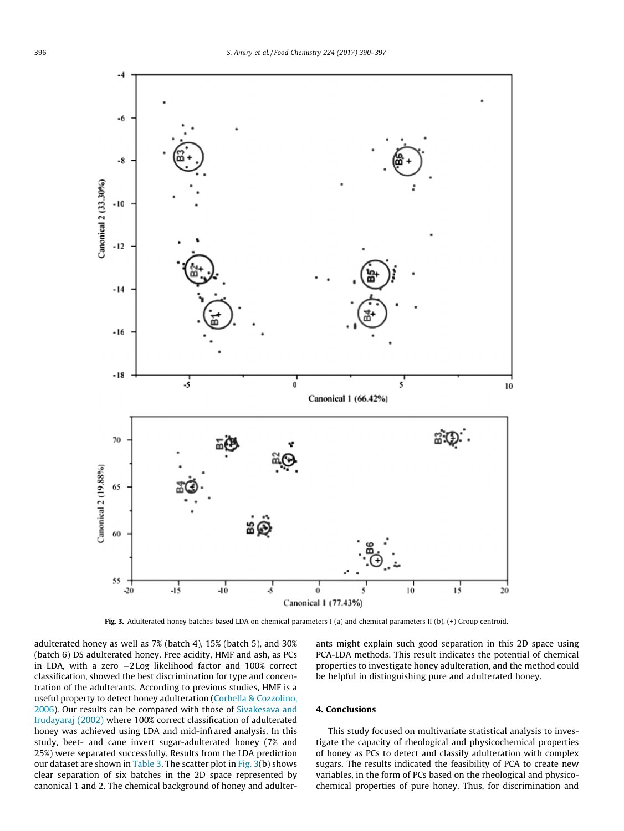<span id="page-6-0"></span>

Fig. 3. Adulterated honey batches based LDA on chemical parameters I (a) and chemical parameters II (b).  $(+)$  Group centroid.

adulterated honey as well as 7% (batch 4), 15% (batch 5), and 30% (batch 6) DS adulterated honey. Free acidity, HMF and ash, as PCs in LDA, with a zero  $-2$  Log likelihood factor and 100% correct classification, showed the best discrimination for type and concentration of the adulterants. According to previous studies, HMF is a useful property to detect honey adulteration [\(Corbella & Cozzolino,](#page-7-0) [2006\)](#page-7-0). Our results can be compared with those of [Sivakesava and](#page-7-0) [Irudayaraj \(2002\)](#page-7-0) where 100% correct classification of adulterated honey was achieved using LDA and mid-infrared analysis. In this study, beet- and cane invert sugar-adulterated honey (7% and 25%) were separated successfully. Results from the LDA prediction our dataset are shown in [Table 3](#page-3-0). The scatter plot in Fig. 3(b) shows clear separation of six batches in the 2D space represented by canonical 1 and 2. The chemical background of honey and adulterants might explain such good separation in this 2D space using PCA-LDA methods. This result indicates the potential of chemical properties to investigate honey adulteration, and the method could be helpful in distinguishing pure and adulterated honey.

# 4. Conclusions

This study focused on multivariate statistical analysis to investigate the capacity of rheological and physicochemical properties of honey as PCs to detect and classify adulteration with complex sugars. The results indicated the feasibility of PCA to create new variables, in the form of PCs based on the rheological and physicochemical properties of pure honey. Thus, for discrimination and